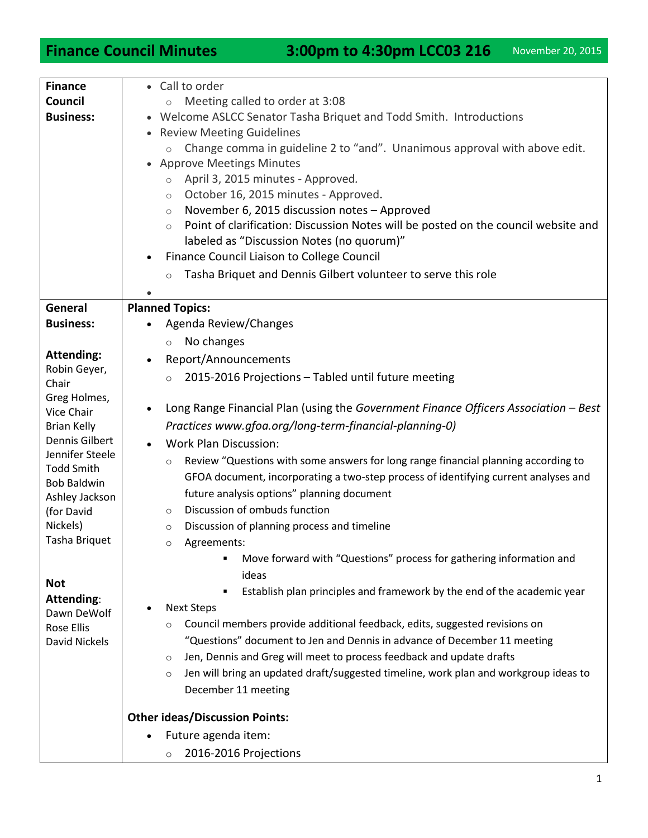**Finance Council Minutes** 3:00pm to 4:30pm LCC03 216 November 20, 2015

| <b>Finance</b><br>Council<br><b>Business:</b>                                                                                                                    | • Call to order<br>Meeting called to order at 3:08<br>$\circ$<br>• Welcome ASLCC Senator Tasha Briquet and Todd Smith. Introductions<br><b>Review Meeting Guidelines</b><br>$\bullet$<br>Change comma in guideline 2 to "and". Unanimous approval with above edit.<br>$\circ$<br><b>Approve Meetings Minutes</b><br>April 3, 2015 minutes - Approved.<br>$\circ$<br>October 16, 2015 minutes - Approved.<br>$\circ$<br>November 6, 2015 discussion notes - Approved<br>$\circ$<br>Point of clarification: Discussion Notes will be posted on the council website and<br>$\circ$<br>labeled as "Discussion Notes (no quorum)"<br>Finance Council Liaison to College Council<br>Tasha Briquet and Dennis Gilbert volunteer to serve this role<br>$\circ$ |
|------------------------------------------------------------------------------------------------------------------------------------------------------------------|--------------------------------------------------------------------------------------------------------------------------------------------------------------------------------------------------------------------------------------------------------------------------------------------------------------------------------------------------------------------------------------------------------------------------------------------------------------------------------------------------------------------------------------------------------------------------------------------------------------------------------------------------------------------------------------------------------------------------------------------------------|
| General                                                                                                                                                          |                                                                                                                                                                                                                                                                                                                                                                                                                                                                                                                                                                                                                                                                                                                                                        |
| <b>Business:</b>                                                                                                                                                 | <b>Planned Topics:</b><br>Agenda Review/Changes                                                                                                                                                                                                                                                                                                                                                                                                                                                                                                                                                                                                                                                                                                        |
|                                                                                                                                                                  | No changes<br>$\circ$                                                                                                                                                                                                                                                                                                                                                                                                                                                                                                                                                                                                                                                                                                                                  |
| <b>Attending:</b><br>Robin Geyer,<br>Chair                                                                                                                       | Report/Announcements<br>2015-2016 Projections - Tabled until future meeting<br>$\circ$                                                                                                                                                                                                                                                                                                                                                                                                                                                                                                                                                                                                                                                                 |
| Greg Holmes,<br>Vice Chair<br><b>Brian Kelly</b><br>Dennis Gilbert<br>Jennifer Steele<br><b>Todd Smith</b><br><b>Bob Baldwin</b><br>Ashley Jackson<br>(for David | Long Range Financial Plan (using the Government Finance Officers Association - Best<br>Practices www.gfoa.org/long-term-financial-planning-0)<br><b>Work Plan Discussion:</b>                                                                                                                                                                                                                                                                                                                                                                                                                                                                                                                                                                          |
|                                                                                                                                                                  | Review "Questions with some answers for long range financial planning according to<br>$\circ$<br>GFOA document, incorporating a two-step process of identifying current analyses and<br>future analysis options" planning document<br>Discussion of ombuds function<br>$\circ$                                                                                                                                                                                                                                                                                                                                                                                                                                                                         |
| Nickels)                                                                                                                                                         |                                                                                                                                                                                                                                                                                                                                                                                                                                                                                                                                                                                                                                                                                                                                                        |
|                                                                                                                                                                  | Discussion of planning process and timeline<br>$\circ$                                                                                                                                                                                                                                                                                                                                                                                                                                                                                                                                                                                                                                                                                                 |
| Tasha Briquet                                                                                                                                                    | Agreements:<br>$\circ$<br>Move forward with "Questions" process for gathering information and<br>٠<br>ideas                                                                                                                                                                                                                                                                                                                                                                                                                                                                                                                                                                                                                                            |
| <b>Not</b>                                                                                                                                                       |                                                                                                                                                                                                                                                                                                                                                                                                                                                                                                                                                                                                                                                                                                                                                        |
| <b>Attending:</b>                                                                                                                                                | Establish plan principles and framework by the end of the academic year<br>٠                                                                                                                                                                                                                                                                                                                                                                                                                                                                                                                                                                                                                                                                           |
| Dawn DeWolf                                                                                                                                                      | <b>Next Steps</b>                                                                                                                                                                                                                                                                                                                                                                                                                                                                                                                                                                                                                                                                                                                                      |
| <b>Rose Ellis</b>                                                                                                                                                | Council members provide additional feedback, edits, suggested revisions on<br>$\circ$                                                                                                                                                                                                                                                                                                                                                                                                                                                                                                                                                                                                                                                                  |
| David Nickels                                                                                                                                                    | "Questions" document to Jen and Dennis in advance of December 11 meeting                                                                                                                                                                                                                                                                                                                                                                                                                                                                                                                                                                                                                                                                               |
|                                                                                                                                                                  | Jen, Dennis and Greg will meet to process feedback and update drafts<br>$\circ$                                                                                                                                                                                                                                                                                                                                                                                                                                                                                                                                                                                                                                                                        |
|                                                                                                                                                                  |                                                                                                                                                                                                                                                                                                                                                                                                                                                                                                                                                                                                                                                                                                                                                        |
|                                                                                                                                                                  | Jen will bring an updated draft/suggested timeline, work plan and workgroup ideas to<br>$\circ$                                                                                                                                                                                                                                                                                                                                                                                                                                                                                                                                                                                                                                                        |
|                                                                                                                                                                  | December 11 meeting                                                                                                                                                                                                                                                                                                                                                                                                                                                                                                                                                                                                                                                                                                                                    |
|                                                                                                                                                                  | <b>Other ideas/Discussion Points:</b>                                                                                                                                                                                                                                                                                                                                                                                                                                                                                                                                                                                                                                                                                                                  |
|                                                                                                                                                                  | Future agenda item:                                                                                                                                                                                                                                                                                                                                                                                                                                                                                                                                                                                                                                                                                                                                    |
|                                                                                                                                                                  | 2016-2016 Projections<br>$\circ$                                                                                                                                                                                                                                                                                                                                                                                                                                                                                                                                                                                                                                                                                                                       |